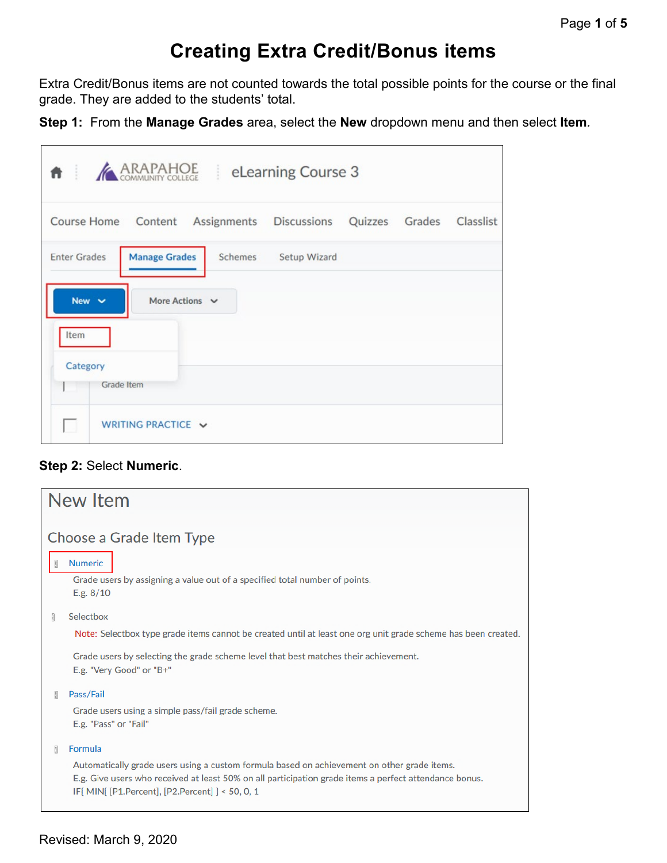## **Creating Extra Credit/Bonus items**

Extra Credit/Bonus items are not counted towards the total possible points for the course or the final grade. They are added to the students' total.

**Step 1:** From the **Manage Grades** area, select the **New** dropdown menu and then select **Item**.

| <b>ARAPAHOE</b>                                                      |                      |         | eLearning Course 3 |  |  |
|----------------------------------------------------------------------|----------------------|---------|--------------------|--|--|
| Course Home Content Assignments Discussions Quizzes Grades Classlist |                      |         |                    |  |  |
| <b>Enter Grades</b>                                                  | <b>Manage Grades</b> | Schemes | Setup Wizard       |  |  |
| New $\sim$                                                           | More Actions $\vee$  |         |                    |  |  |
| Item                                                                 |                      |         |                    |  |  |
| Category<br>Grade Item                                               |                      |         |                    |  |  |
|                                                                      | WRITING PRACTICE V   |         |                    |  |  |

## **Step 2:** Select **Numeric**.

| New Item                                                                                                                                                                                                                                                                  |  |  |  |  |  |
|---------------------------------------------------------------------------------------------------------------------------------------------------------------------------------------------------------------------------------------------------------------------------|--|--|--|--|--|
| Choose a Grade Item Type                                                                                                                                                                                                                                                  |  |  |  |  |  |
| <b>Numeric</b><br>Grade users by assigning a value out of a specified total number of points.<br>E.g. $8/10$                                                                                                                                                              |  |  |  |  |  |
| Selectbox<br>計<br>Note: Selectbox type grade items cannot be created until at least one org unit grade scheme has been created.<br>Grade users by selecting the grade scheme level that best matches their achievement.<br>E.g. "Very Good" or "B+"                       |  |  |  |  |  |
| Pass/Fail<br>凬<br>Grade users using a simple pass/fail grade scheme.<br>E.g. "Pass" or "Fail"                                                                                                                                                                             |  |  |  |  |  |
| Formula<br>F<br>Automatically grade users using a custom formula based on achievement on other grade items.<br>E.g. Give users who received at least 50% on all participation grade items a perfect attendance bonus.<br>IF{ MIN{ [P1.Percent], [P2.Percent] } < 50, 0, 1 |  |  |  |  |  |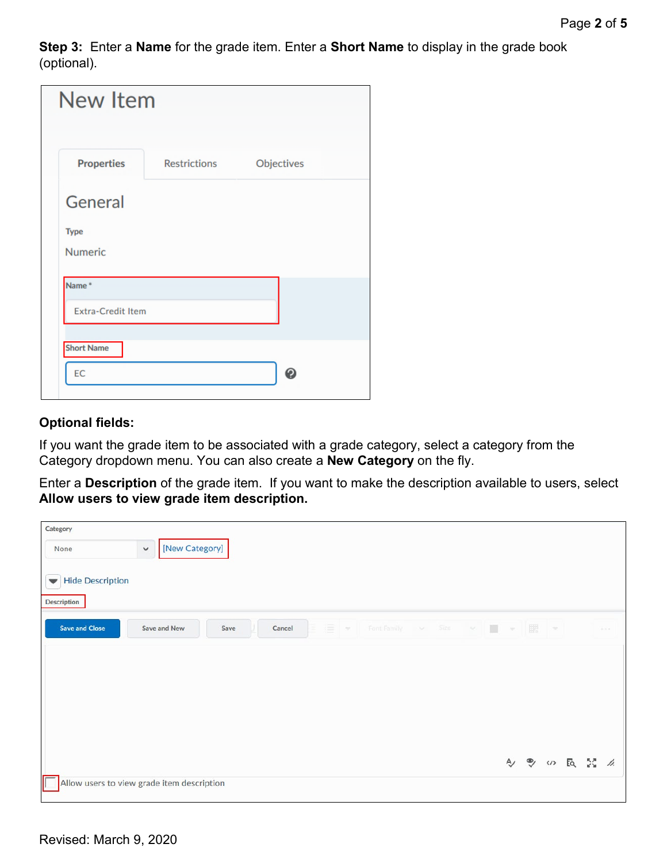**Step 3:** Enter a **Name** for the grade item. Enter a **Short Name** to display in the grade book (optional).

| New Item                 |                     |            |
|--------------------------|---------------------|------------|
| <b>Properties</b>        | <b>Restrictions</b> | Objectives |
| General                  |                     |            |
| <b>Type</b>              |                     |            |
| <b>Numeric</b>           |                     |            |
| Name <sup>*</sup>        |                     |            |
| <b>Extra-Credit Item</b> |                     |            |
| <b>Short Name</b>        |                     |            |
|                          |                     |            |
| EC                       |                     | ℯ          |

## **Optional fields:**

If you want the grade item to be associated with a grade category, select a category from the Category dropdown menu. You can also create a **New Category** on the fly.

Enter a **Description** of the grade item. If you want to make the description available to users, select **Allow users to view grade item description.**

| Category<br>[New Category]<br>$\checkmark$<br>None                                                     |             |  |          |
|--------------------------------------------------------------------------------------------------------|-------------|--|----------|
| <b>Hide Description</b><br>$\blacktriangledown$<br><b>Description</b>                                  |             |  |          |
| Font Fant Family v Size v   v     v       v<br><b>Save and Close</b><br>Save and New<br>Save<br>Cancel |             |  | Carlos M |
|                                                                                                        |             |  |          |
|                                                                                                        |             |  |          |
|                                                                                                        | 4 % 5 5 % % |  |          |
| $\blacksquare$<br>Allow users to view grade item description                                           |             |  |          |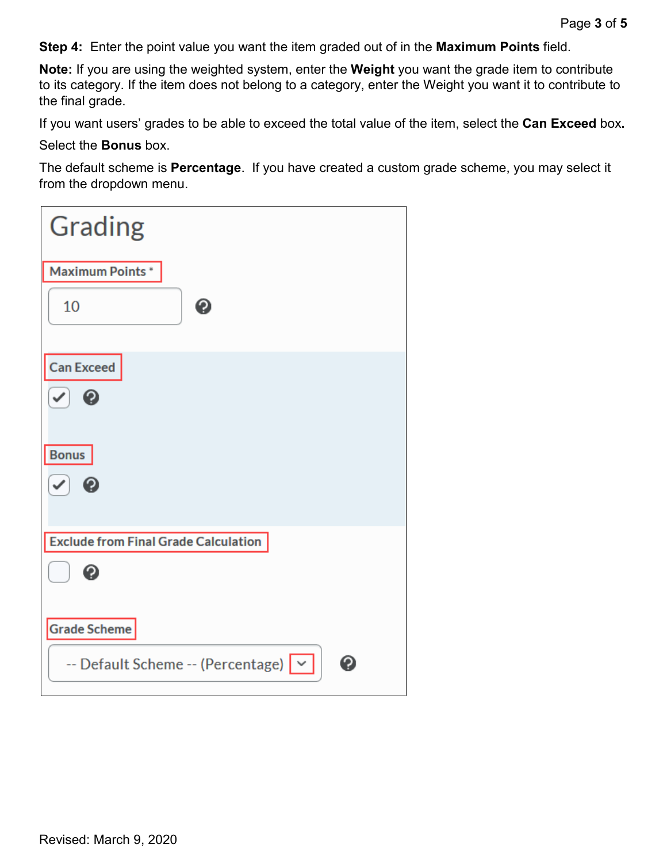**Step 4:** Enter the point value you want the item graded out of in the **Maximum Points** field.

**Note:** If you are using the weighted system, enter the **Weight** you want the grade item to contribute to its category. If the item does not belong to a category, enter the Weight you want it to contribute to the final grade.

If you want users' grades to be able to exceed the total value of the item, select the **Can Exceed** box**.** 

## Select the **Bonus** box.

The default scheme is **Percentage**. If you have created a custom grade scheme, you may select it from the dropdown menu.

| <b>Grading</b>                                    |
|---------------------------------------------------|
| <b>Maximum Points*</b><br>10<br>❷                 |
| <b>Can Exceed</b><br>√⊦ ©<br><b>Bonus</b>         |
| $\bullet$                                         |
| <b>Exclude from Final Grade Calculation</b><br>❷  |
| <b>Grade Scheme</b>                               |
| -- Default Scheme -- (Percentage) $  \vee  $<br>9 |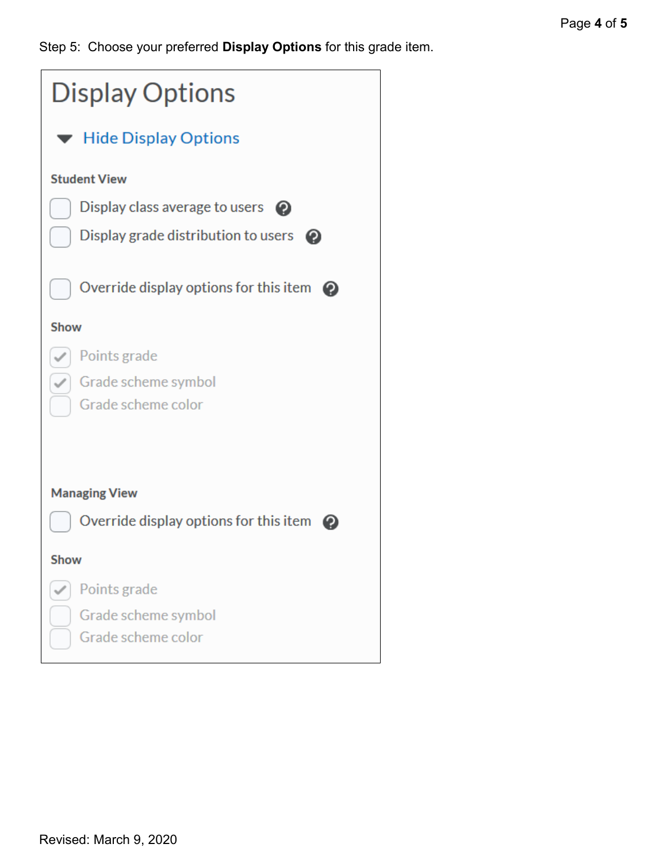Step 5: Choose your preferred **Display Options** for this grade item.

| <b>Display Options</b> |                                                                                                        |  |
|------------------------|--------------------------------------------------------------------------------------------------------|--|
|                        | $\blacktriangleright$ Hide Display Options                                                             |  |
|                        | <b>Student View</b><br>Display class average to users<br>❷<br>Display grade distribution to users<br>❷ |  |
|                        | Override display options for this item<br>❷                                                            |  |
| <b>Show</b>            |                                                                                                        |  |
|                        | Points grade                                                                                           |  |
|                        | Grade scheme symbol                                                                                    |  |
|                        | Grade scheme color                                                                                     |  |
|                        | <b>Managing View</b>                                                                                   |  |
|                        | Override display options for this item<br>0                                                            |  |
| <b>Show</b>            |                                                                                                        |  |
|                        | Points grade                                                                                           |  |
|                        | Grade scheme symbol                                                                                    |  |
|                        | Grade scheme color                                                                                     |  |